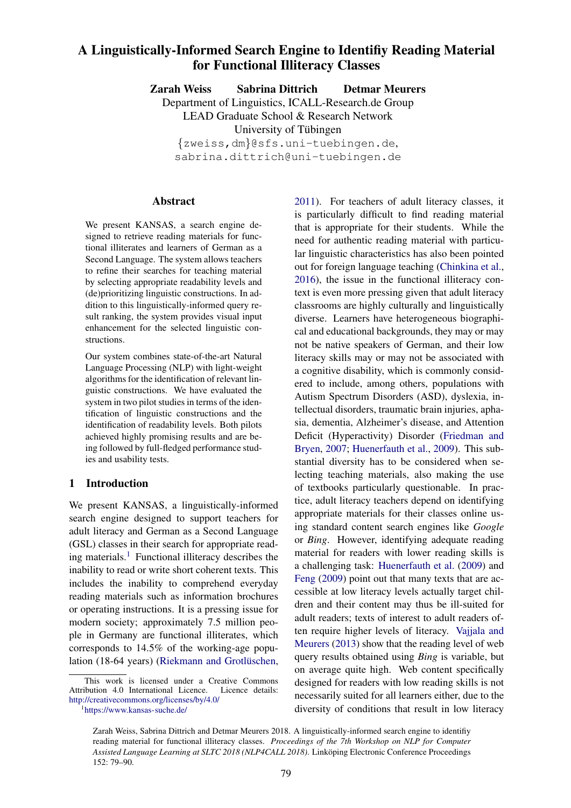# A Linguistically-Informed Search Engine to Identifiy Reading Material for Functional Illiteracy Classes

Zarah Weiss Sabrina Dittrich Detmar Meurers

Department of Linguistics, ICALL-Research.de Group

LEAD Graduate School & Research Network

University of Tübingen

{zweiss,dm}@sfs.uni-tuebingen.de, sabrina.dittrich@uni-tuebingen.de

#### Abstract

We present KANSAS, a search engine designed to retrieve reading materials for functional illiterates and learners of German as a Second Language. The system allows teachers to refine their searches for teaching material by selecting appropriate readability levels and (de)prioritizing linguistic constructions. In addition to this linguistically-informed query result ranking, the system provides visual input enhancement for the selected linguistic constructions.

Our system combines state-of-the-art Natural Language Processing (NLP) with light-weight algorithms for the identification of relevant linguistic constructions. We have evaluated the system in two pilot studies in terms of the identification of linguistic constructions and the identification of readability levels. Both pilots achieved highly promising results and are being followed by full-fledged performance studies and usability tests.

# 1 Introduction

We present KANSAS, a linguistically-informed search engine designed to support teachers for adult literacy and German as a Second Language (GSL) classes in their search for appropriate reading materials.<sup>1</sup> Functional illiteracy describes the inability to read or write short coherent texts. This includes the inability to comprehend everyday reading materials such as information brochures or operating instructions. It is a pressing issue for modern society; approximately 7.5 million people in Germany are functional illiterates, which corresponds to 14.5% of the working-age population (18-64 years) (Riekmann and Grotlüschen,

This work is licensed under a Creative Commons Attribution 4.0 International Licence. Licence details: http://creativecommons.org/licenses/by/4.0/

2011). For teachers of adult literacy classes, it is particularly difficult to find reading material that is appropriate for their students. While the need for authentic reading material with particular linguistic characteristics has also been pointed out for foreign language teaching (Chinkina et al., 2016), the issue in the functional illiteracy context is even more pressing given that adult literacy classrooms are highly culturally and linguistically diverse. Learners have heterogeneous biographical and educational backgrounds, they may or may not be native speakers of German, and their low literacy skills may or may not be associated with a cognitive disability, which is commonly considered to include, among others, populations with Autism Spectrum Disorders (ASD), dyslexia, intellectual disorders, traumatic brain injuries, aphasia, dementia, Alzheimer's disease, and Attention Deficit (Hyperactivity) Disorder (Friedman and Bryen, 2007; Huenerfauth et al., 2009). This substantial diversity has to be considered when selecting teaching materials, also making the use of textbooks particularly questionable. In practice, adult literacy teachers depend on identifying appropriate materials for their classes online using standard content search engines like *Google* or *Bing*. However, identifying adequate reading material for readers with lower reading skills is a challenging task: Huenerfauth et al. (2009) and Feng (2009) point out that many texts that are accessible at low literacy levels actually target children and their content may thus be ill-suited for adult readers; texts of interest to adult readers often require higher levels of literacy. Vajjala and Meurers (2013) show that the reading level of web query results obtained using *Bing* is variable, but on average quite high. Web content specifically designed for readers with low reading skills is not necessarily suited for all learners either, due to the diversity of conditions that result in low literacy

<sup>1</sup> https://www.kansas-suche.de/

Zarah Weiss, Sabrina Dittrich and Detmar Meurers 2018. A linguistically-informed search engine to identifiy reading material for functional illiteracy classes. *Proceedings of the 7th Workshop on NLP for Computer Assisted Language Learning at SLTC 2018 (NLP4CALL 2018)*. Linköping Electronic Conference Proceedings 152: 79–90.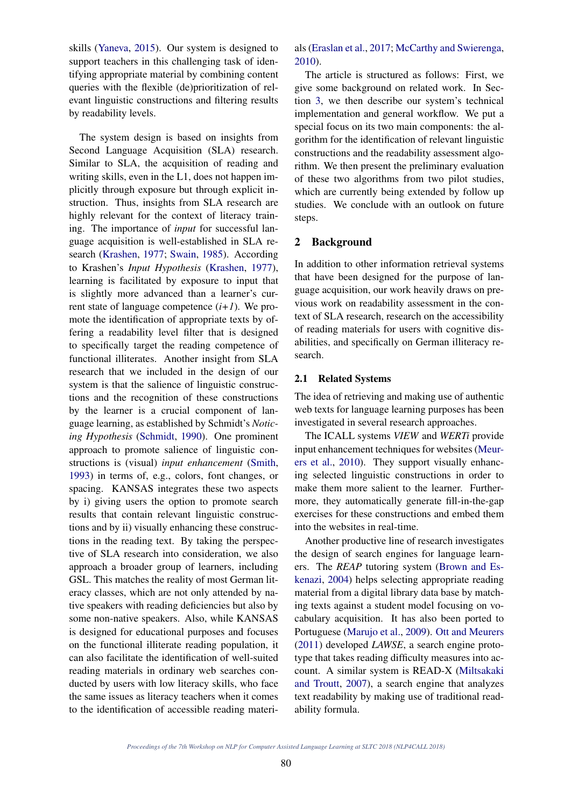skills (Yaneva, 2015). Our system is designed to support teachers in this challenging task of identifying appropriate material by combining content queries with the flexible (de)prioritization of relevant linguistic constructions and filtering results by readability levels.

The system design is based on insights from Second Language Acquisition (SLA) research. Similar to SLA, the acquisition of reading and writing skills, even in the L1, does not happen implicitly through exposure but through explicit instruction. Thus, insights from SLA research are highly relevant for the context of literacy training. The importance of *input* for successful language acquisition is well-established in SLA research (Krashen, 1977; Swain, 1985). According to Krashen's *Input Hypothesis* (Krashen, 1977), learning is facilitated by exposure to input that is slightly more advanced than a learner's current state of language competence  $(i+1)$ . We promote the identification of appropriate texts by offering a readability level filter that is designed to specifically target the reading competence of functional illiterates. Another insight from SLA research that we included in the design of our system is that the salience of linguistic constructions and the recognition of these constructions by the learner is a crucial component of language learning, as established by Schmidt's *Noticing Hypothesis* (Schmidt, 1990). One prominent approach to promote salience of linguistic constructions is (visual) *input enhancement* (Smith, 1993) in terms of, e.g., colors, font changes, or spacing. KANSAS integrates these two aspects by i) giving users the option to promote search results that contain relevant linguistic constructions and by ii) visually enhancing these constructions in the reading text. By taking the perspective of SLA research into consideration, we also approach a broader group of learners, including GSL. This matches the reality of most German literacy classes, which are not only attended by native speakers with reading deficiencies but also by some non-native speakers. Also, while KANSAS is designed for educational purposes and focuses on the functional illiterate reading population, it can also facilitate the identification of well-suited reading materials in ordinary web searches conducted by users with low literacy skills, who face the same issues as literacy teachers when it comes to the identification of accessible reading materials (Eraslan et al., 2017; McCarthy and Swierenga, 2010).

The article is structured as follows: First, we give some background on related work. In Section 3, we then describe our system's technical implementation and general workflow. We put a special focus on its two main components: the algorithm for the identification of relevant linguistic constructions and the readability assessment algorithm. We then present the preliminary evaluation of these two algorithms from two pilot studies, which are currently being extended by follow up studies. We conclude with an outlook on future steps.

## 2 Background

In addition to other information retrieval systems that have been designed for the purpose of language acquisition, our work heavily draws on previous work on readability assessment in the context of SLA research, research on the accessibility of reading materials for users with cognitive disabilities, and specifically on German illiteracy research.

#### 2.1 Related Systems

The idea of retrieving and making use of authentic web texts for language learning purposes has been investigated in several research approaches.

The ICALL systems *VIEW* and *WERTi* provide input enhancement techniques for websites (Meurers et al., 2010). They support visually enhancing selected linguistic constructions in order to make them more salient to the learner. Furthermore, they automatically generate fill-in-the-gap exercises for these constructions and embed them into the websites in real-time.

Another productive line of research investigates the design of search engines for language learners. The *REAP* tutoring system (Brown and Eskenazi, 2004) helps selecting appropriate reading material from a digital library data base by matching texts against a student model focusing on vocabulary acquisition. It has also been ported to Portuguese (Marujo et al., 2009). Ott and Meurers (2011) developed *LAWSE*, a search engine prototype that takes reading difficulty measures into account. A similar system is READ-X (Miltsakaki and Troutt, 2007), a search engine that analyzes text readability by making use of traditional readability formula.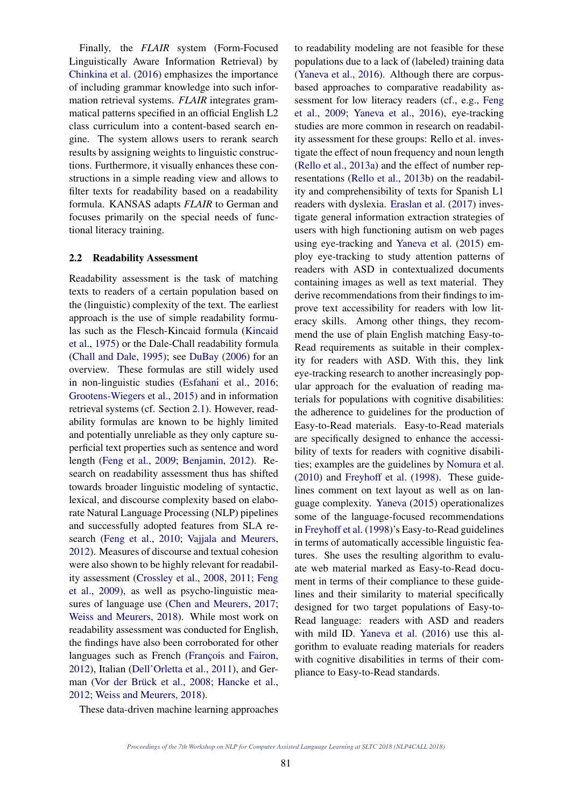Finally, the *FLAIR* system (Form-Focused Linguistically Aware Information Retrieval) by Chinkina et al. (2016) emphasizes the importance of including grammar knowledge into such information retrieval systems. *FLAIR* integrates grammatical patterns specified in an official English L2 class curriculum into a content-based search engine. The system allows users to rerank search results by assigning weights to linguistic constructions. Furthermore, it visually enhances these constructions in a simple reading view and allows to filter texts for readability based on a readability formula. KANSAS adapts *FLAIR* to German and focuses primarily on the special needs of functional literacy training.

### 2.2 Readability Assessment

Readability assessment is the task of matching texts to readers of a certain population based on the (linguistic) complexity of the text. The earliest approach is the use of simple readability formulas such as the Flesch-Kincaid formula (Kincaid et al., 1975) or the Dale-Chall readability formula (Chall and Dale, 1995); see DuBay (2006) for an overview. These formulas are still widely used in non-linguistic studies (Esfahani et al., 2016; Grootens-Wiegers et al., 2015) and in information retrieval systems (cf. Section 2.1). However, readability formulas are known to be highly limited and potentially unreliable as they only capture superficial text properties such as sentence and word length (Feng et al., 2009; Benjamin, 2012). Research on readability assessment thus has shifted towards broader linguistic modeling of syntactic, lexical, and discourse complexity based on elaborate Natural Language Processing (NLP) pipelines and successfully adopted features from SLA research (Feng et al., 2010; Vajjala and Meurers, 2012). Measures of discourse and textual cohesion were also shown to be highly relevant for readability assessment (Crossley et al., 2008, 2011; Feng et al., 2009), as well as psycho-linguistic measures of language use (Chen and Meurers, 2017; Weiss and Meurers, 2018). While most work on readability assessment was conducted for English, the findings have also been corroborated for other languages such as French (François and Fairon, 2012), Italian (Dell'Orletta et al., 2011), and German (Vor der Brück et al., 2008; Hancke et al., 2012; Weiss and Meurers, 2018).

to readability modeling are not feasible for these populations due to a lack of (labeled) training data (Yaneva et al., 2016). Although there are corpusbased approaches to comparative readability assessment for low literacy readers (cf., e.g., Feng et al., 2009; Yaneva et al., 2016), eye-tracking studies are more common in research on readability assessment for these groups: Rello et al. investigate the effect of noun frequency and noun length (Rello et al., 2013a) and the effect of number representations (Rello et al., 2013b) on the readability and comprehensibility of texts for Spanish L1 readers with dyslexia. Eraslan et al. (2017) investigate general information extraction strategies of users with high functioning autism on web pages using eye-tracking and Yaneva et al. (2015) employ eye-tracking to study attention patterns of readers with ASD in contextualized documents containing images as well as text material. They derive recommendations from their findings to improve text accessibility for readers with low literacy skills. Among other things, they recommend the use of plain English matching Easy-to-Read requirements as suitable in their complexity for readers with ASD. With this, they link eye-tracking research to another increasingly popular approach for the evaluation of reading materials for populations with cognitive disabilities: the adherence to guidelines for the production of Easy-to-Read materials. Easy-to-Read materials are specifically designed to enhance the accessibility of texts for readers with cognitive disabilities; examples are the guidelines by Nomura et al. (2010) and Freyhoff et al. (1998). These guidelines comment on text layout as well as on language complexity. Yaneva (2015) operationalizes some of the language-focused recommendations in Freyhoff et al. (1998)'s Easy-to-Read guidelines in terms of automatically accessible linguistic features. She uses the resulting algorithm to evaluate web material marked as Easy-to-Read document in terms of their compliance to these guidelines and their similarity to material specifically designed for two target populations of Easy-to-Read language: readers with ASD and readers with mild ID. Yaneva et al. (2016) use this algorithm to evaluate reading materials for readers with cognitive disabilities in terms of their compliance to Easy-to-Read standards.

These data-driven machine learning approaches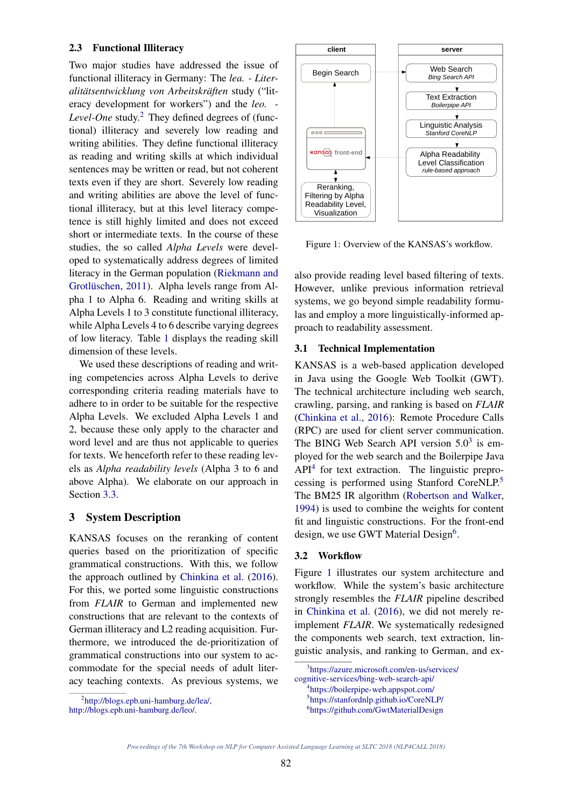#### 2.3 Functional Illiteracy

Two major studies have addressed the issue of functional illiteracy in Germany: The *lea. - Literalitatsentwicklung von Arbeitskr ¨ aften ¨* study ("literacy development for workers") and the *leo. - Level-One* study. <sup>2</sup> They defined degrees of (functional) illiteracy and severely low reading and writing abilities. They define functional illiteracy as reading and writing skills at which individual sentences may be written or read, but not coherent texts even if they are short. Severely low reading and writing abilities are above the level of functional illiteracy, but at this level literacy competence is still highly limited and does not exceed short or intermediate texts. In the course of these studies, the so called *Alpha Levels* were developed to systematically address degrees of limited literacy in the German population (Riekmann and Grotlüschen, 2011). Alpha levels range from Alpha 1 to Alpha 6. Reading and writing skills at Alpha Levels 1 to 3 constitute functional illiteracy, while Alpha Levels 4 to 6 describe varying degrees of low literacy. Table 1 displays the reading skill dimension of these levels.

We used these descriptions of reading and writing competencies across Alpha Levels to derive corresponding criteria reading materials have to adhere to in order to be suitable for the respective Alpha Levels. We excluded Alpha Levels 1 and 2, because these only apply to the character and word level and are thus not applicable to queries for texts. We henceforth refer to these reading levels as *Alpha readability levels* (Alpha 3 to 6 and above Alpha). We elaborate on our approach in Section 3.3.

## 3 System Description

KANSAS focuses on the reranking of content queries based on the prioritization of specific grammatical constructions. With this, we follow the approach outlined by Chinkina et al. (2016). For this, we ported some linguistic constructions from *FLAIR* to German and implemented new constructions that are relevant to the contexts of German illiteracy and L2 reading acquisition. Furthermore, we introduced the de-prioritization of grammatical constructions into our system to accommodate for the special needs of adult literacy teaching contexts. As previous systems, we



http://blogs.epb.uni-hamburg.de/leo/.



Figure 1: Overview of the KANSAS's workflow.

also provide reading level based filtering of texts. However, unlike previous information retrieval systems, we go beyond simple readability formulas and employ a more linguistically-informed approach to readability assessment.

#### 3.1 Technical Implementation

KANSAS is a web-based application developed in Java using the Google Web Toolkit (GWT). The technical architecture including web search, crawling, parsing, and ranking is based on *FLAIR* (Chinkina et al., 2016): Remote Procedure Calls (RPC) are used for client server communication. The BING Web Search API version  $5.0<sup>3</sup>$  is employed for the web search and the Boilerpipe Java API<sup>4</sup> for text extraction. The linguistic preprocessing is performed using Stanford CoreNLP. 5 The BM25 IR algorithm (Robertson and Walker, 1994) is used to combine the weights for content fit and linguistic constructions. For the front-end design, we use GWT Material Design<sup>6</sup>.

## 3.2 Workflow

Figure 1 illustrates our system architecture and workflow. While the system's basic architecture strongly resembles the *FLAIR* pipeline described in Chinkina et al. (2016), we did not merely reimplement *FLAIR*. We systematically redesigned the components web search, text extraction, linguistic analysis, and ranking to German, and ex-

<sup>3</sup> https://azure.microsoft.com/en-us/services/

cognitive-services/bing-web-search-api/

<sup>4</sup> https://boilerpipe-web.appspot.com/

<sup>5</sup> https://stanfordnlp.github.io/CoreNLP/

<sup>6</sup> https://github.com/GwtMaterialDesign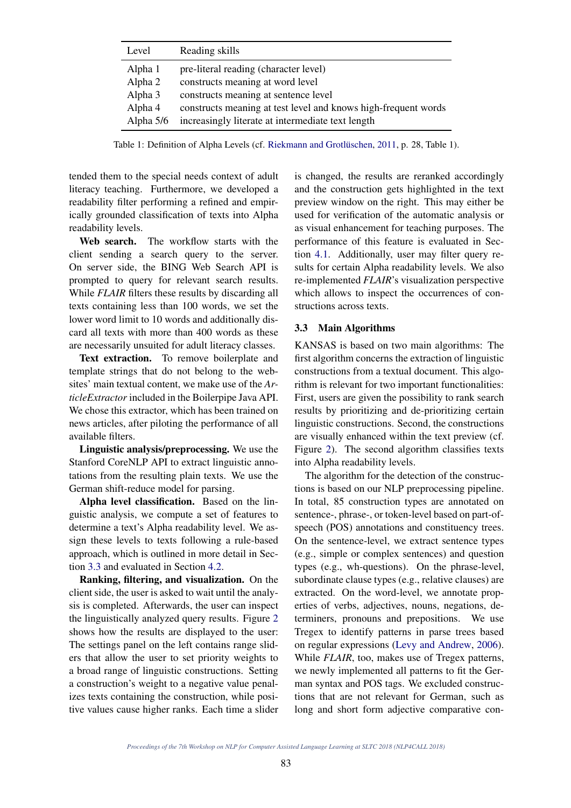| Level     | Reading skills                                                 |
|-----------|----------------------------------------------------------------|
| Alpha 1   | pre-literal reading (character level)                          |
| Alpha 2   | constructs meaning at word level                               |
| Alpha 3   | constructs meaning at sentence level                           |
| Alpha 4   | constructs meaning at test level and knows high-frequent words |
| Alpha 5/6 | increasingly literate at intermediate text length              |

Table 1: Definition of Alpha Levels (cf. Riekmann and Grotlüschen, 2011, p. 28, Table 1).

tended them to the special needs context of adult literacy teaching. Furthermore, we developed a readability filter performing a refined and empirically grounded classification of texts into Alpha readability levels.

Web search. The workflow starts with the client sending a search query to the server. On server side, the BING Web Search API is prompted to query for relevant search results. While *FLAIR* filters these results by discarding all texts containing less than 100 words, we set the lower word limit to 10 words and additionally discard all texts with more than 400 words as these are necessarily unsuited for adult literacy classes.

Text extraction. To remove boilerplate and template strings that do not belong to the websites' main textual content, we make use of the *ArticleExtractor* included in the Boilerpipe Java API. We chose this extractor, which has been trained on news articles, after piloting the performance of all available filters.

Linguistic analysis/preprocessing. We use the Stanford CoreNLP API to extract linguistic annotations from the resulting plain texts. We use the German shift-reduce model for parsing.

Alpha level classification. Based on the linguistic analysis, we compute a set of features to determine a text's Alpha readability level. We assign these levels to texts following a rule-based approach, which is outlined in more detail in Section 3.3 and evaluated in Section 4.2.

Ranking, filtering, and visualization. On the client side, the user is asked to wait until the analysis is completed. Afterwards, the user can inspect the linguistically analyzed query results. Figure 2 shows how the results are displayed to the user: The settings panel on the left contains range sliders that allow the user to set priority weights to a broad range of linguistic constructions. Setting a construction's weight to a negative value penalizes texts containing the construction, while positive values cause higher ranks. Each time a slider is changed, the results are reranked accordingly and the construction gets highlighted in the text preview window on the right. This may either be used for verification of the automatic analysis or as visual enhancement for teaching purposes. The performance of this feature is evaluated in Section 4.1. Additionally, user may filter query results for certain Alpha readability levels. We also re-implemented *FLAIR*'s visualization perspective which allows to inspect the occurrences of constructions across texts.

# 3.3 Main Algorithms

KANSAS is based on two main algorithms: The first algorithm concerns the extraction of linguistic constructions from a textual document. This algorithm is relevant for two important functionalities: First, users are given the possibility to rank search results by prioritizing and de-prioritizing certain linguistic constructions. Second, the constructions are visually enhanced within the text preview (cf. Figure 2). The second algorithm classifies texts into Alpha readability levels.

The algorithm for the detection of the constructions is based on our NLP preprocessing pipeline. In total, 85 construction types are annotated on sentence-, phrase-, or token-level based on part-ofspeech (POS) annotations and constituency trees. On the sentence-level, we extract sentence types (e.g., simple or complex sentences) and question types (e.g., wh-questions). On the phrase-level, subordinate clause types (e.g., relative clauses) are extracted. On the word-level, we annotate properties of verbs, adjectives, nouns, negations, determiners, pronouns and prepositions. We use Tregex to identify patterns in parse trees based on regular expressions (Levy and Andrew, 2006). While *FLAIR*, too, makes use of Tregex patterns, we newly implemented all patterns to fit the German syntax and POS tags. We excluded constructions that are not relevant for German, such as long and short form adjective comparative con-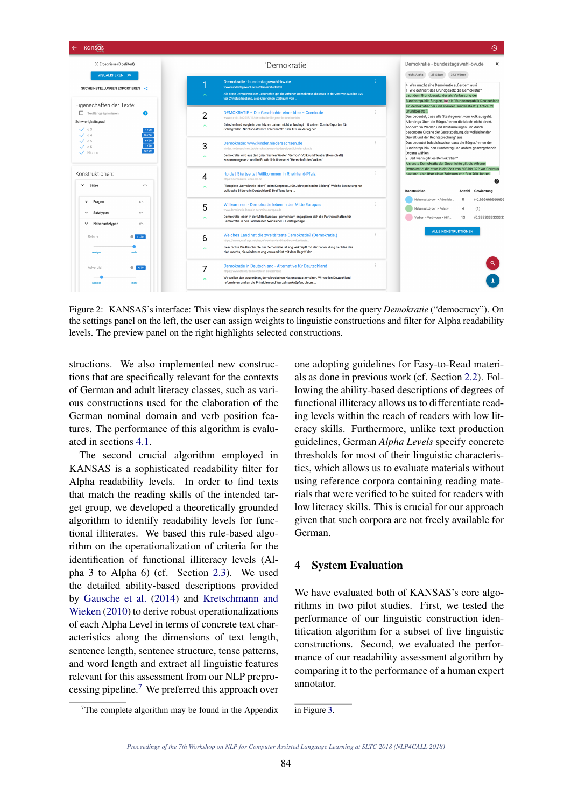

Figure 2: KANSAS's interface: This view displays the search results for the query *Demokratie* ("democracy"). On the settings panel on the left, the user can assign weights to linguistic constructions and filter for Alpha readability levels. The preview panel on the right highlights selected constructions.

structions. We also implemented new constructions that are specifically relevant for the contexts of German and adult literacy classes, such as various constructions used for the elaboration of the German nominal domain and verb position features. The performance of this algorithm is evaluated in sections 4.1.

The second crucial algorithm employed in KANSAS is a sophisticated readability filter for Alpha readability levels. In order to find texts that match the reading skills of the intended target group, we developed a theoretically grounded algorithm to identify readability levels for functional illiterates. We based this rule-based algorithm on the operationalization of criteria for the identification of functional illiteracy levels (Alpha 3 to Alpha 6) (cf. Section 2.3). We used the detailed ability-based descriptions provided by Gausche et al. (2014) and Kretschmann and Wieken (2010) to derive robust operationalizations of each Alpha Level in terms of concrete text characteristics along the dimensions of text length, sentence length, sentence structure, tense patterns, and word length and extract all linguistic features relevant for this assessment from our NLP preprocessing pipeline. <sup>7</sup> We preferred this approach over

one adopting guidelines for Easy-to-Read materials as done in previous work (cf. Section 2.2). Following the ability-based descriptions of degrees of functional illiteracy allows us to differentiate reading levels within the reach of readers with low literacy skills. Furthermore, unlike text production guidelines, German *Alpha Levels* specify concrete thresholds for most of their linguistic characteristics, which allows us to evaluate materials without using reference corpora containing reading materials that were verified to be suited for readers with low literacy skills. This is crucial for our approach given that such corpora are not freely available for German.

## 4 System Evaluation

We have evaluated both of KANSAS's core algorithms in two pilot studies. First, we tested the performance of our linguistic construction identification algorithm for a subset of five linguistic constructions. Second, we evaluated the performance of our readability assessment algorithm by comparing it to the performance of a human expert annotator.

in Figure 3.

 $7$ The complete algorithm may be found in the Appendix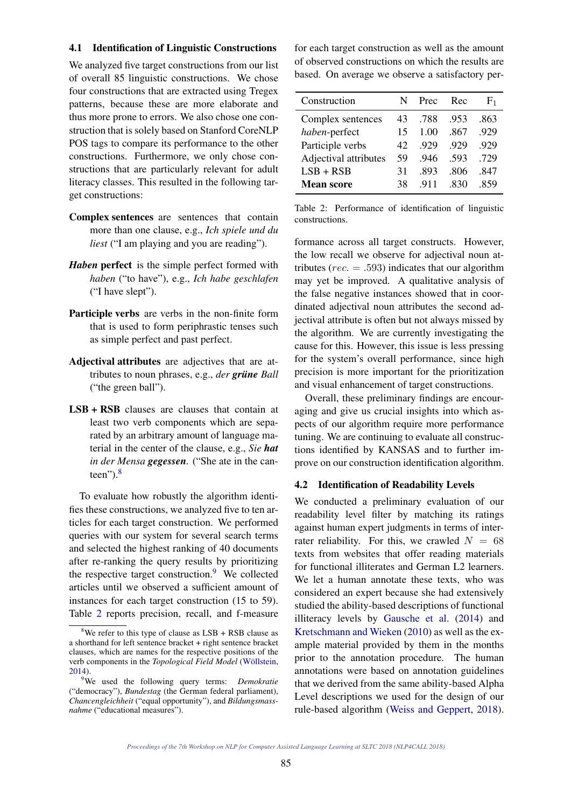## 4.1 Identification of Linguistic Constructions

We analyzed five target constructions from our list of overall 85 linguistic constructions. We chose four constructions that are extracted using Tregex patterns, because these are more elaborate and thus more prone to errors. We also chose one construction that is solely based on Stanford CoreNLP POS tags to compare its performance to the other constructions. Furthermore, we only chose constructions that are particularly relevant for adult literacy classes. This resulted in the following target constructions:

- Complex sentences are sentences that contain more than one clause, e.g., *Ich spiele und du liest* ("I am playing and you are reading").
- *Haben* perfect is the simple perfect formed with *haben* ("to have"), e.g., *Ich habe geschlafen* ("I have slept").
- Participle verbs are verbs in the non-finite form that is used to form periphrastic tenses such as simple perfect and past perfect.
- Adjectival attributes are adjectives that are attributes to noun phrases, e.g., *der grüne Ball* ("the green ball").
- LSB + RSB clauses are clauses that contain at least two verb components which are separated by an arbitrary amount of language material in the center of the clause, e.g., *Sie hat in der Mensa gegessen.* ("She ate in the canteen").<sup>8</sup>

To evaluate how robustly the algorithm identifies these constructions, we analyzed five to ten articles for each target construction. We performed queries with our system for several search terms and selected the highest ranking of 40 documents after re-ranking the query results by prioritizing the respective target construction.<sup>9</sup> We collected articles until we observed a sufficient amount of instances for each target construction (15 to 59). Table 2 reports precision, recall, and f-measure

for each target construction as well as the amount of observed constructions on which the results are based. On average we observe a satisfactory per-

| N  | Prec | Rec  | $F_1$ |
|----|------|------|-------|
| 43 | .788 | .953 | .863  |
| 15 | 1.00 | .867 | .929  |
| 42 | .929 | -929 | .929  |
| 59 | -946 | -593 | .729  |
| 31 | .893 | .806 | .847  |
| 38 | -911 | .830 | -859  |
|    |      |      |       |

Table 2: Performance of identification of linguistic constructions.

formance across all target constructs. However, the low recall we observe for adjectival noun attributes ( $rec. = .593$ ) indicates that our algorithm may yet be improved. A qualitative analysis of the false negative instances showed that in coordinated adjectival noun attributes the second adjectival attribute is often but not always missed by the algorithm. We are currently investigating the cause for this. However, this issue is less pressing for the system's overall performance, since high precision is more important for the prioritization and visual enhancement of target constructions.

Overall, these preliminary findings are encouraging and give us crucial insights into which aspects of our algorithm require more performance tuning. We are continuing to evaluate all constructions identified by KANSAS and to further improve on our construction identification algorithm.

#### 4.2 Identification of Readability Levels

We conducted a preliminary evaluation of our readability level filter by matching its ratings against human expert judgments in terms of interrater reliability. For this, we crawled  $N = 68$ texts from websites that offer reading materials for functional illiterates and German L2 learners. We let a human annotate these texts, who was considered an expert because she had extensively studied the ability-based descriptions of functional illiteracy levels by Gausche et al. (2014) and Kretschmann and Wieken (2010) as well as the example material provided by them in the months prior to the annotation procedure. The human annotations were based on annotation guidelines that we derived from the same ability-based Alpha Level descriptions we used for the design of our rule-based algorithm (Weiss and Geppert, 2018).

<sup>&</sup>lt;sup>8</sup>We refer to this type of clause as  $LSB + RSB$  clause as a shorthand for left sentence bracket + right sentence bracket clauses, which are names for the respective positions of the verb components in the *Topological Field Model* (Wöllstein, 2014).

<sup>9</sup>We used the following query terms: *Demokratie* ("democracy"), *Bundestag* (the German federal parliament), *Chancengleichheit* ("equal opportunity"), and *Bildungsmassnahme* ("educational measures").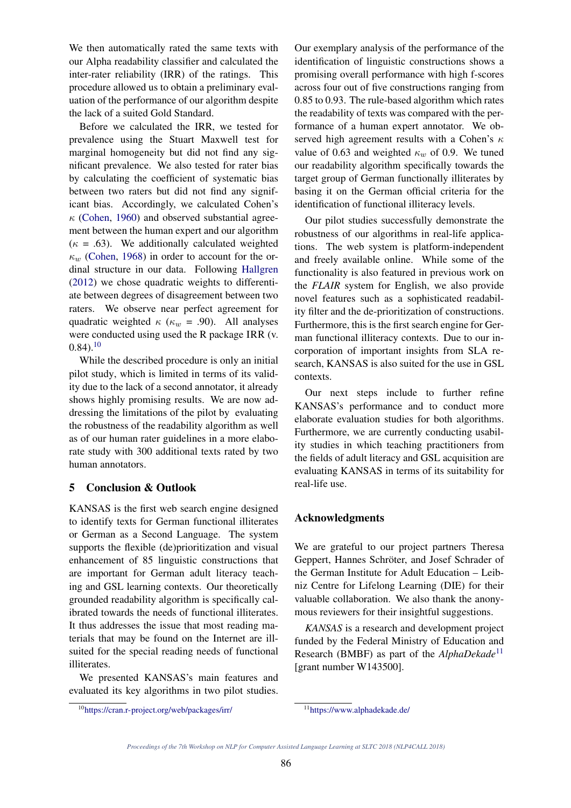We then automatically rated the same texts with our Alpha readability classifier and calculated the inter-rater reliability (IRR) of the ratings. This procedure allowed us to obtain a preliminary evaluation of the performance of our algorithm despite the lack of a suited Gold Standard.

Before we calculated the IRR, we tested for prevalence using the Stuart Maxwell test for marginal homogeneity but did not find any significant prevalence. We also tested for rater bias by calculating the coefficient of systematic bias between two raters but did not find any significant bias. Accordingly, we calculated Cohen's  $\kappa$  (Cohen, 1960) and observed substantial agreement between the human expert and our algorithm  $(\kappa = .63)$ . We additionally calculated weighted  $\kappa_w$  (Cohen, 1968) in order to account for the ordinal structure in our data. Following Hallgren (2012) we chose quadratic weights to differentiate between degrees of disagreement between two raters. We observe near perfect agreement for quadratic weighted  $\kappa$  ( $\kappa_w$  = .90). All analyses were conducted using used the R package IRR (v.  $(0.84)$ <sup>10</sup>

While the described procedure is only an initial pilot study, which is limited in terms of its validity due to the lack of a second annotator, it already shows highly promising results. We are now addressing the limitations of the pilot by evaluating the robustness of the readability algorithm as well as of our human rater guidelines in a more elaborate study with 300 additional texts rated by two human annotators.

# 5 Conclusion & Outlook

KANSAS is the first web search engine designed to identify texts for German functional illiterates or German as a Second Language. The system supports the flexible (de)prioritization and visual enhancement of 85 linguistic constructions that are important for German adult literacy teaching and GSL learning contexts. Our theoretically grounded readability algorithm is specifically calibrated towards the needs of functional illiterates. It thus addresses the issue that most reading materials that may be found on the Internet are illsuited for the special reading needs of functional illiterates.

We presented KANSAS's main features and evaluated its key algorithms in two pilot studies.

Our exemplary analysis of the performance of the identification of linguistic constructions shows a promising overall performance with high f-scores across four out of five constructions ranging from 0.85 to 0.93. The rule-based algorithm which rates the readability of texts was compared with the performance of a human expert annotator. We observed high agreement results with a Cohen's  $\kappa$ value of 0.63 and weighted  $\kappa_w$  of 0.9. We tuned our readability algorithm specifically towards the target group of German functionally illiterates by basing it on the German official criteria for the identification of functional illiteracy levels.

Our pilot studies successfully demonstrate the robustness of our algorithms in real-life applications. The web system is platform-independent and freely available online. While some of the functionality is also featured in previous work on the *FLAIR* system for English, we also provide novel features such as a sophisticated readability filter and the de-prioritization of constructions. Furthermore, this is the first search engine for German functional illiteracy contexts. Due to our incorporation of important insights from SLA research, KANSAS is also suited for the use in GSL contexts.

Our next steps include to further refine KANSAS's performance and to conduct more elaborate evaluation studies for both algorithms. Furthermore, we are currently conducting usability studies in which teaching practitioners from the fields of adult literacy and GSL acquisition are evaluating KANSAS in terms of its suitability for real-life use.

# Acknowledgments

We are grateful to our project partners Theresa Geppert, Hannes Schröter, and Josef Schrader of the German Institute for Adult Education – Leibniz Centre for Lifelong Learning (DIE) for their valuable collaboration. We also thank the anonymous reviewers for their insightful suggestions.

*KANSAS* is a research and development project funded by the Federal Ministry of Education and Research (BMBF) as part of the *AlphaDekade*<sup>11</sup> [grant number W143500].

<sup>10</sup>https://cran.r-project.org/web/packages/irr/

<sup>11</sup>https://www.alphadekade.de/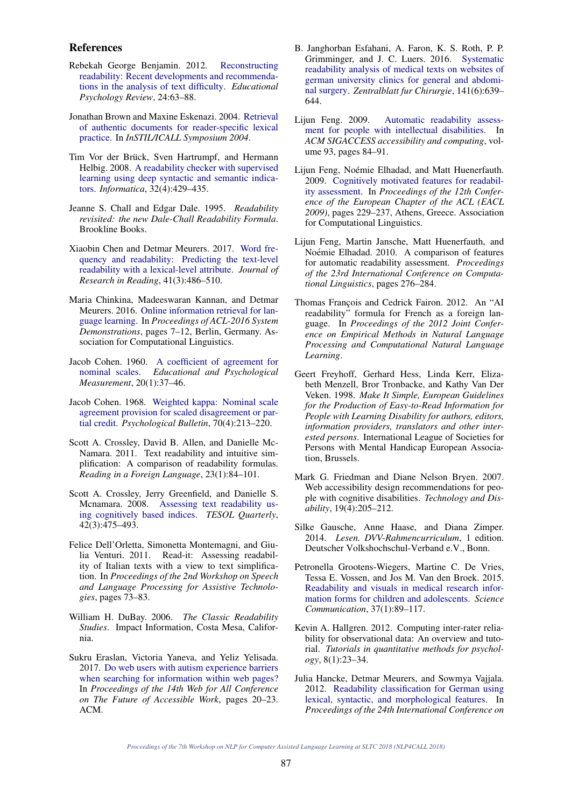#### References

- Rebekah George Benjamin. 2012. Reconstructing readability: Recent developments and recommendations in the analysis of text difficulty. *Educational Psychology Review*, 24:63–88.
- Jonathan Brown and Maxine Eskenazi. 2004. Retrieval of authentic documents for reader-specific lexical practice. In *InSTIL/ICALL Symposium 2004*.
- Tim Vor der Brück, Sven Hartrumpf, and Hermann Helbig. 2008. A readability checker with supervised learning using deep syntactic and semantic indicators. *Informatica*, 32(4):429–435.
- Jeanne S. Chall and Edgar Dale. 1995. *Readability revisited: the new Dale-Chall Readability Formula*. Brookline Books.
- Xiaobin Chen and Detmar Meurers. 2017. Word frequency and readability: Predicting the text-level readability with a lexical-level attribute. *Journal of Research in Reading*, 41(3):486–510.
- Maria Chinkina, Madeeswaran Kannan, and Detmar Meurers. 2016. Online information retrieval for language learning. In *Proceedings of ACL-2016 System Demonstrations*, pages 7–12, Berlin, Germany. Association for Computational Linguistics.
- Jacob Cohen. 1960. A coefficient of agreement for nominal scales. *Educational and Psychological Measurement*, 20(1):37–46.
- Jacob Cohen. 1968. Weighted kappa: Nominal scale agreement provision for scaled disagreement or partial credit. *Psychological Bulletin*, 70(4):213–220.
- Scott A. Crossley, David B. Allen, and Danielle Mc-Namara. 2011. Text readability and intuitive simplification: A comparison of readability formulas. *Reading in a Foreign Language*, 23(1):84–101.
- Scott A. Crossley, Jerry Greenfield, and Danielle S. Mcnamara. 2008. Assessing text readability using cognitively based indices. *TESOL Quarterly*, 42(3):475–493.
- Felice Dell'Orletta, Simonetta Montemagni, and Giulia Venturi. 2011. Read-it: Assessing readability of Italian texts with a view to text simplification. In *Proceedings of the 2nd Workshop on Speech and Language Processing for Assistive Technologies*, pages 73–83.
- William H. DuBay. 2006. *The Classic Readability Studies*. Impact Information, Costa Mesa, California.
- Sukru Eraslan, Victoria Yaneva, and Yeliz Yelisada. 2017. Do web users with autism experience barriers when searching for information within web pages? In *Proceedings of the 14th Web for All Conference on The Future of Accessible Work*, pages 20–23. ACM.
- B. Janghorban Esfahani, A. Faron, K. S. Roth, P. P. Grimminger, and J. C. Luers. 2016. Systematic readability analysis of medical texts on websites of german university clinics for general and abdominal surgery. *Zentralblatt fur Chirurgie*, 141(6):639– 644.
- Lijun Feng. 2009. Automatic readability assessment for people with intellectual disabilities. In *ACM SIGACCESS accessibility and computing*, volume 93, pages 84–91.
- Lijun Feng, Noémie Elhadad, and Matt Huenerfauth. 2009. Cognitively motivated features for readability assessment. In *Proceedings of the 12th Conference of the European Chapter of the ACL (EACL 2009)*, pages 229–237, Athens, Greece. Association for Computational Linguistics.
- Lijun Feng, Martin Jansche, Matt Huenerfauth, and Noémie Elhadad. 2010. A comparison of features for automatic readability assessment. *Proceedings of the 23rd International Conference on Computational Linguistics*, pages 276–284.
- Thomas François and Cedrick Fairon. 2012. An "AI readability" formula for French as a foreign language. In *Proceedings of the 2012 Joint Conference on Empirical Methods in Natural Language Processing and Computational Natural Language Learning*.
- Geert Freyhoff, Gerhard Hess, Linda Kerr, Elizabeth Menzell, Bror Tronbacke, and Kathy Van Der Veken. 1998. *Make It Simple, European Guidelines for the Production of Easy-to-Read Information for People with Learning Disability for authors, editors, information providers, translators and other interested persons*. International League of Societies for Persons with Mental Handicap European Association, Brussels.
- Mark G. Friedman and Diane Nelson Bryen. 2007. Web accessibility design recommendations for people with cognitive disabilities. *Technology and Disability*, 19(4):205–212.
- Silke Gausche, Anne Haase, and Diana Zimper. 2014. *Lesen. DVV-Rahmencurriculum*, 1 edition. Deutscher Volkshochschul-Verband e.V., Bonn.
- Petronella Grootens-Wiegers, Martine C. De Vries, Tessa E. Vossen, and Jos M. Van den Broek. 2015. Readability and visuals in medical research information forms for children and adolescents. *Science Communication*, 37(1):89–117.
- Kevin A. Hallgren. 2012. Computing inter-rater reliability for observational data: An overview and tutorial. *Tutorials in quantitative methods for psychology*, 8(1):23–34.
- Julia Hancke, Detmar Meurers, and Sowmya Vajjala. 2012. Readability classification for German using lexical, syntactic, and morphological features. In *Proceedings of the 24th International Conference on*

*Proceedings of the 7th Workshop on NLP for Computer Assisted Language Learning at SLTC 2018 (NLP4CALL 2018)*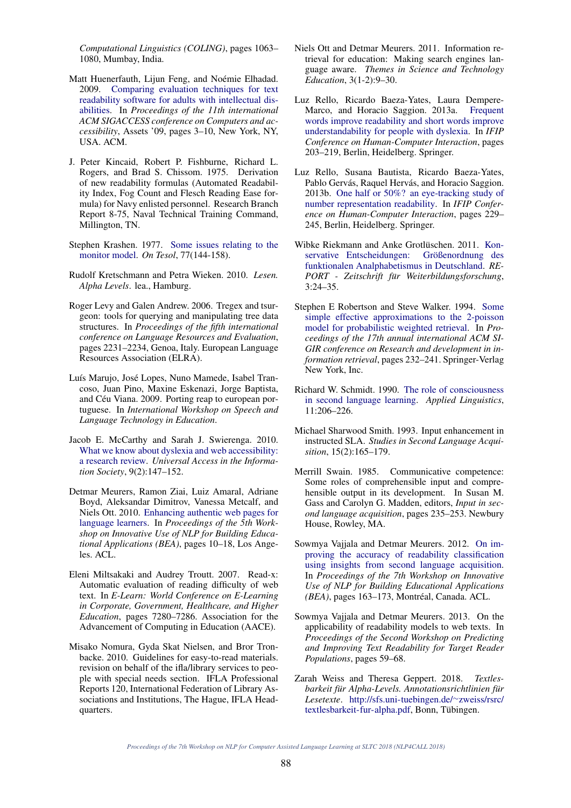*Computational Linguistics (COLING)*, pages 1063– 1080, Mumbay, India.

- Matt Huenerfauth, Lijun Feng, and Noémie Elhadad. 2009. Comparing evaluation techniques for text readability software for adults with intellectual disabilities. In *Proceedings of the 11th international ACM SIGACCESS conference on Computers and accessibility*, Assets '09, pages 3–10, New York, NY, USA. ACM.
- J. Peter Kincaid, Robert P. Fishburne, Richard L. Rogers, and Brad S. Chissom. 1975. Derivation of new readability formulas (Automated Readability Index, Fog Count and Flesch Reading Ease formula) for Navy enlisted personnel. Research Branch Report 8-75, Naval Technical Training Command, Millington, TN.
- Stephen Krashen. 1977. Some issues relating to the monitor model. *On Tesol*, 77(144-158).
- Rudolf Kretschmann and Petra Wieken. 2010. *Lesen. Alpha Levels*. lea., Hamburg.
- Roger Levy and Galen Andrew. 2006. Tregex and tsurgeon: tools for querying and manipulating tree data structures. In *Proceedings of the fifth international conference on Language Resources and Evaluation*, pages 2231–2234, Genoa, Italy. European Language Resources Association (ELRA).
- Luís Marujo, José Lopes, Nuno Mamede, Isabel Trancoso, Juan Pino, Maxine Eskenazi, Jorge Baptista, and Céu Viana. 2009. Porting reap to european portuguese. In *International Workshop on Speech and Language Technology in Education*.
- Jacob E. McCarthy and Sarah J. Swierenga. 2010. What we know about dyslexia and web accessibility: a research review. *Universal Access in the Information Society*, 9(2):147–152.
- Detmar Meurers, Ramon Ziai, Luiz Amaral, Adriane Boyd, Aleksandar Dimitrov, Vanessa Metcalf, and Niels Ott. 2010. Enhancing authentic web pages for language learners. In *Proceedings of the 5th Workshop on Innovative Use of NLP for Building Educational Applications (BEA)*, pages 10–18, Los Angeles. ACL.
- Eleni Miltsakaki and Audrey Troutt. 2007. Read-x: Automatic evaluation of reading difficulty of web text. In *E-Learn: World Conference on E-Learning in Corporate, Government, Healthcare, and Higher Education*, pages 7280–7286. Association for the Advancement of Computing in Education (AACE).
- Misako Nomura, Gyda Skat Nielsen, and Bror Tronbacke. 2010. Guidelines for easy-to-read materials. revision on behalf of the ifla/library services to people with special needs section. IFLA Professional Reports 120, International Federation of Library Associations and Institutions, The Hague, IFLA Headquarters.
- Niels Ott and Detmar Meurers. 2011. Information retrieval for education: Making search engines language aware. *Themes in Science and Technology Education*, 3(1-2):9–30.
- Luz Rello, Ricardo Baeza-Yates, Laura Dempere-Marco, and Horacio Saggion. 2013a. Frequent words improve readability and short words improve understandability for people with dyslexia. In *IFIP Conference on Human-Computer Interaction*, pages 203–219, Berlin, Heidelberg. Springer.
- Luz Rello, Susana Bautista, Ricardo Baeza-Yates, Pablo Gervás, Raquel Hervás, and Horacio Saggion. 2013b. One half or 50%? an eye-tracking study of number representation readability. In *IFIP Conference on Human-Computer Interaction*, pages 229– 245, Berlin, Heidelberg. Springer.
- Wibke Riekmann and Anke Grotlüschen. 2011. Konservative Entscheidungen: Größenordnung des funktionalen Analphabetismus in Deutschland. *RE-PORT - Zeitschrift für Weiterbildungsforschung*, 3:24–35.
- Stephen E Robertson and Steve Walker. 1994. Some simple effective approximations to the 2-poisson model for probabilistic weighted retrieval. In *Proceedings of the 17th annual international ACM SI-GIR conference on Research and development in information retrieval*, pages 232–241. Springer-Verlag New York, Inc.
- Richard W. Schmidt. 1990. The role of consciousness in second language learning. *Applied Linguistics*, 11:206–226.
- Michael Sharwood Smith. 1993. Input enhancement in instructed SLA. *Studies in Second Language Acquisition*, 15(2):165–179.
- Merrill Swain. 1985. Communicative competence: Some roles of comprehensible input and comprehensible output in its development. In Susan M. Gass and Carolyn G. Madden, editors, *Input in second language acquisition*, pages 235–253. Newbury House, Rowley, MA.
- Sowmya Vajjala and Detmar Meurers. 2012. On improving the accuracy of readability classification using insights from second language acquisition. In *Proceedings of the 7th Workshop on Innovative Use of NLP for Building Educational Applications (BEA)*, pages 163-173, Montréal, Canada. ACL.
- Sowmya Vajjala and Detmar Meurers. 2013. On the applicability of readability models to web texts. In *Proceedings of the Second Workshop on Predicting and Improving Text Readability for Target Reader Populations*, pages 59–68.
- Zarah Weiss and Theresa Geppert. 2018. *Textlesbarkeit für Alpha-Levels. Annotationsrichtlinien für Lesetexte*. http://sfs.uni-tuebingen.de/<sup>∼</sup>zweiss/rsrc/ textlesbarkeit-fur-alpha.pdf, Bonn, Tübingen.

*Proceedings of the 7th Workshop on NLP for Computer Assisted Language Learning at SLTC 2018 (NLP4CALL 2018)*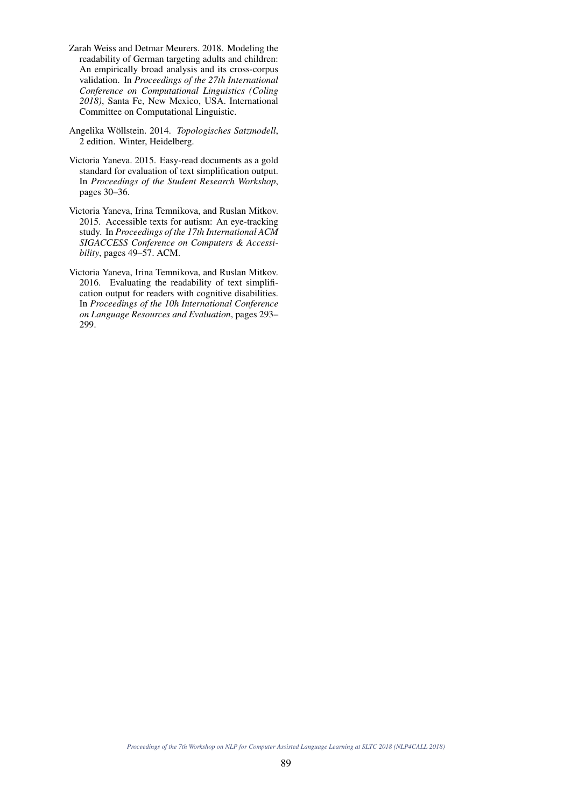- Zarah Weiss and Detmar Meurers. 2018. Modeling the readability of German targeting adults and children: An empirically broad analysis and its cross-corpus validation. In *Proceedings of the 27th International Conference on Computational Linguistics (Coling 2018)*, Santa Fe, New Mexico, USA. International Committee on Computational Linguistic.
- Angelika Wollstein. 2014. ¨ *Topologisches Satzmodell*, 2 edition. Winter, Heidelberg.
- Victoria Yaneva. 2015. Easy-read documents as a gold standard for evaluation of text simplification output. In *Proceedings of the Student Research Workshop*, pages 30–36.
- Victoria Yaneva, Irina Temnikova, and Ruslan Mitkov. 2015. Accessible texts for autism: An eye-tracking study. In *Proceedings of the 17th International ACM SIGACCESS Conference on Computers & Accessibility*, pages 49–57. ACM.
- Victoria Yaneva, Irina Temnikova, and Ruslan Mitkov. 2016. Evaluating the readability of text simplification output for readers with cognitive disabilities. In *Proceedings of the 10h International Conference on Language Resources and Evaluation*, pages 293– 299.